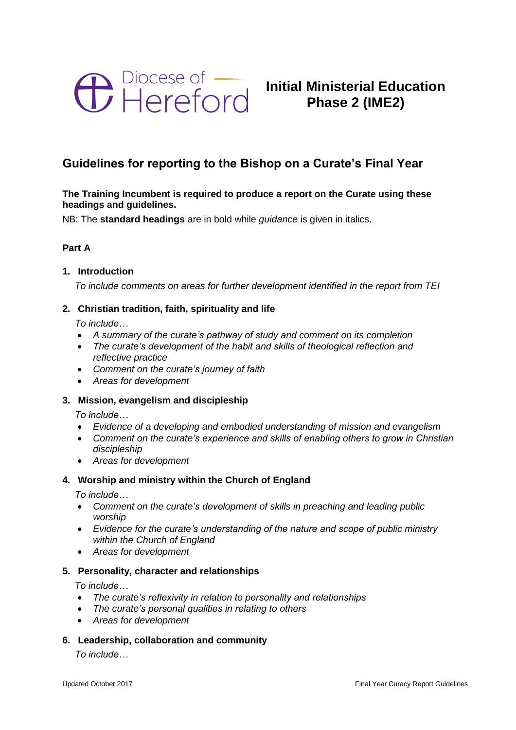

# **Initial Ministerial Education Phase 2 (IME2)**

# **Guidelines for reporting to the Bishop on a Curate's Final Year**

# **The Training Incumbent is required to produce a report on the Curate using these headings and guidelines.**

NB: The **standard headings** are in bold while *guidance* is given in italics.

# **Part A**

#### **1. Introduction**

*To include comments on areas for further development identified in the report from TEI* 

# **2. Christian tradition, faith, spirituality and life**

*To include…*

- *A summary of the curate's pathway of study and comment on its completion*
- *The curate's development of the habit and skills of theological reflection and reflective practice*
- *Comment on the curate's journey of faith*
- *Areas for development*

# **3. Mission, evangelism and discipleship**

*To include…*

- *Evidence of a developing and embodied understanding of mission and evangelism*
- *Comment on the curate's experience and skills of enabling others to grow in Christian discipleship*
- *Areas for development*

# **4. Worship and ministry within the Church of England**

*To include…*

- *Comment on the curate's development of skills in preaching and leading public worship*
- *Evidence for the curate's understanding of the nature and scope of public ministry within the Church of England*
- *Areas for development*

#### **5. Personality, character and relationships**

*To include…*

- *The curate's reflexivity in relation to personality and relationships*
- *The curate's personal qualities in relating to others*
- *Areas for development*
- **6. Leadership, collaboration and community**

*To include…*